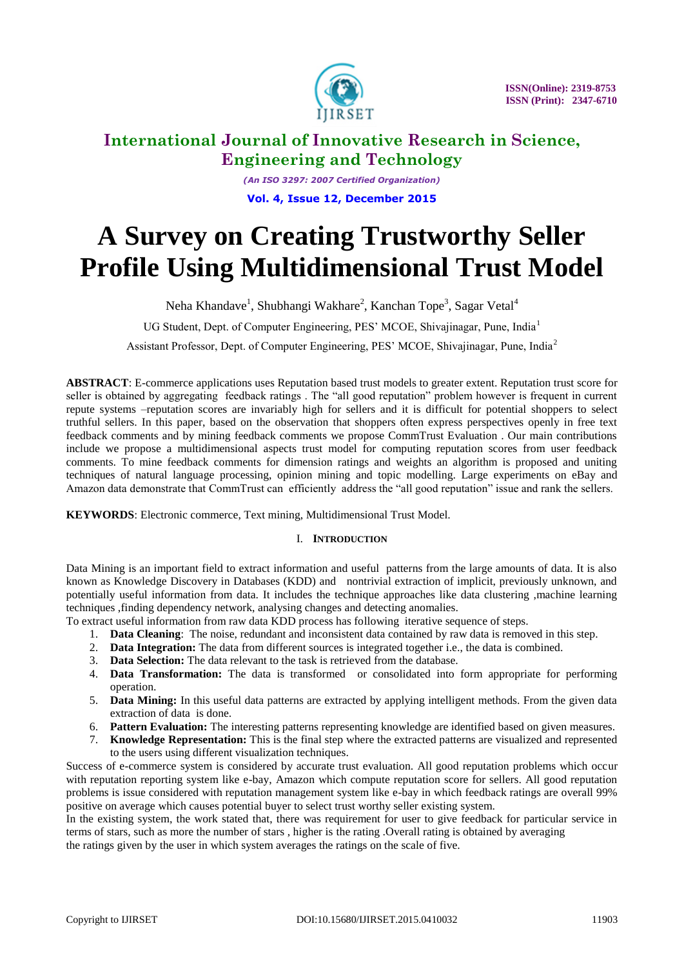

*(An ISO 3297: 2007 Certified Organization)* **Vol. 4, Issue 12, December 2015**

# **A Survey on Creating Trustworthy Seller Profile Using Multidimensional Trust Model**

Neha Khandave<sup>1</sup>, Shubhangi Wakhare<sup>2</sup>, Kanchan Tope<sup>3</sup>, Sagar Vetal<sup>4</sup>

UG Student, Dept. of Computer Engineering, PES' MCOE, Shivajinagar, Pune, India<sup>1</sup>

Assistant Professor, Dept. of Computer Engineering, PES' MCOE, Shivajinagar, Pune, India<sup>2</sup>

**ABSTRACT**: E*-*commerce applications uses Reputation based trust models to greater extent. Reputation trust score for seller is obtained by aggregating feedback ratings . The "all good reputation" problem however is frequent in current repute systems –reputation scores are invariably high for sellers and it is difficult for potential shoppers to select truthful sellers. In this paper, based on the observation that shoppers often express perspectives openly in free text feedback comments and by mining feedback comments we propose CommTrust Evaluation . Our main contributions include we propose a multidimensional aspects trust model for computing reputation scores from user feedback comments. To mine feedback comments for dimension ratings and weights an algorithm is proposed and uniting techniques of natural language processing, opinion mining and topic modelling. Large experiments on eBay and Amazon data demonstrate that CommTrust can efficiently address the "all good reputation" issue and rank the sellers.

**KEYWORDS**: Electronic commerce, Text mining, Multidimensional Trust Model.

### I. **INTRODUCTION**

Data Mining is an important field to extract information and useful patterns from the large amounts of data. It is also known as Knowledge Discovery in Databases (KDD) and nontrivial extraction of implicit, previously unknown, and potentially useful information from data. It includes the technique approaches like data clustering ,machine learning techniques ,finding dependency network, analysing changes and detecting anomalies.

To extract useful information from raw data KDD process has following iterative sequence of steps.

- 1. **Data Cleaning**: The noise, redundant and inconsistent data contained by raw data is removed in this step.
- 2. **Data Integration:** The data from different sources is integrated together i.e., the data is combined.
- 3. **Data Selection:** The data relevant to the task is retrieved from the database.
- 4. **Data Transformation:** The data is transformed or consolidated into form appropriate for performing operation.
- 5. **Data Mining:** In this useful data patterns are extracted by applying intelligent methods. From the given data extraction of data is done.
- 6. **Pattern Evaluation:** The interesting patterns representing knowledge are identified based on given measures.
- 7. **Knowledge Representation:** This is the final step where the extracted patterns are visualized and represented to the users using different visualization techniques.

Success of e-commerce system is considered by accurate trust evaluation. All good reputation problems which occur with reputation reporting system like e-bay, Amazon which compute reputation score for sellers. All good reputation problems is issue considered with reputation management system like e-bay in which feedback ratings are overall 99% positive on average which causes potential buyer to select trust worthy seller existing system.

In the existing system, the work stated that, there was requirement for user to give feedback for particular service in terms of stars, such as more the number of stars , higher is the rating .Overall rating is obtained by averaging the ratings given by the user in which system averages the ratings on the scale of five.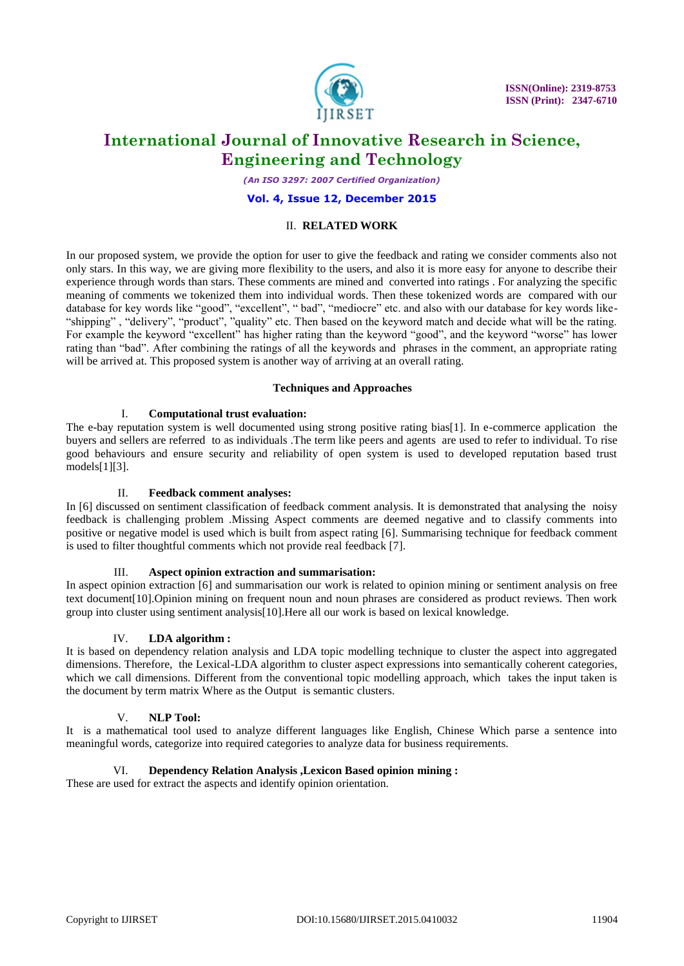

*(An ISO 3297: 2007 Certified Organization)*

### **Vol. 4, Issue 12, December 2015**

### II. **RELATED WORK**

In our proposed system, we provide the option for user to give the feedback and rating we consider comments also not only stars. In this way, we are giving more flexibility to the users, and also it is more easy for anyone to describe their experience through words than stars. These comments are mined and converted into ratings . For analyzing the specific meaning of comments we tokenized them into individual words. Then these tokenized words are compared with our database for key words like "good", "excellent", " bad", "mediocre" etc. and also with our database for key words like- "shipping" , "delivery", "product", "quality" etc. Then based on the keyword match and decide what will be the rating. For example the keyword "excellent" has higher rating than the keyword "good", and the keyword "worse" has lower rating than "bad". After combining the ratings of all the keywords and phrases in the comment, an appropriate rating will be arrived at. This proposed system is another way of arriving at an overall rating.

### **Techniques and Approaches**

### I. **Computational trust evaluation:**

The e-bay reputation system is well documented using strong positive rating bias[1]. In e-commerce application the buyers and sellers are referred to as individuals .The term like peers and agents are used to refer to individual. To rise good behaviours and ensure security and reliability of open system is used to developed reputation based trust models[1][3].

### II. **Feedback comment analyses:**

In [6] discussed on sentiment classification of feedback comment analysis. It is demonstrated that analysing the noisy feedback is challenging problem .Missing Aspect comments are deemed negative and to classify comments into positive or negative model is used which is built from aspect rating [6]. Summarising technique for feedback comment is used to filter thoughtful comments which not provide real feedback [7].

### III. **Aspect opinion extraction and summarisation:**

In aspect opinion extraction [6] and summarisation our work is related to opinion mining or sentiment analysis on free text document[10].Opinion mining on frequent noun and noun phrases are considered as product reviews. Then work group into cluster using sentiment analysis[10].Here all our work is based on lexical knowledge.

### IV. **LDA algorithm :**

It is based on dependency relation analysis and LDA topic modelling technique to cluster the aspect into aggregated dimensions. Therefore, the Lexical-LDA algorithm to cluster aspect expressions into semantically coherent categories, which we call dimensions. Different from the conventional topic modelling approach, which takes the input taken is the document by term matrix Where as the Outputis semantic clusters.

### V. **NLP Tool:**

It is a mathematical tool used to analyze different languages like English, Chinese Which parse a sentence into meaningful words, categorize into required categories to analyze data for business requirements.

### VI. **Dependency Relation Analysis ,Lexicon Based opinion mining :**

These are used for extract the aspects and identify opinion orientation.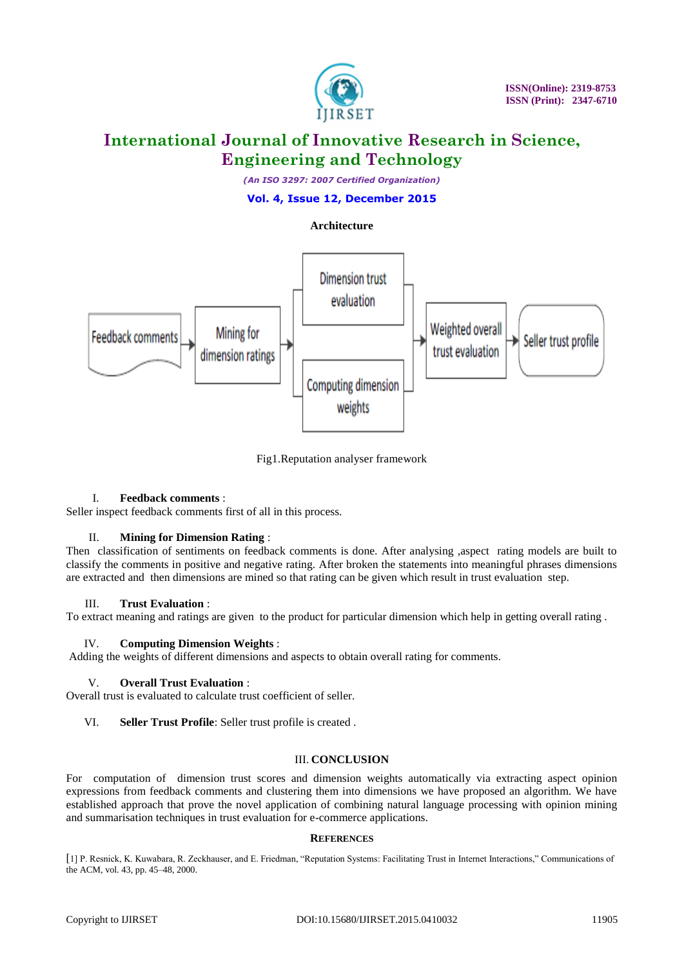

*(An ISO 3297: 2007 Certified Organization)*

**Vol. 4, Issue 12, December 2015**

### **Architecture**



Fig1.Reputation analyser framework

### I. **Feedback comments** :

Seller inspect feedback comments first of all in this process.

### II. **Mining for Dimension Rating** :

Then classification of sentiments on feedback comments is done. After analysing ,aspect rating models are built to classify the comments in positive and negative rating. After broken the statements into meaningful phrases dimensions are extracted and then dimensions are mined so that rating can be given which result in trust evaluation step.

### III. **Trust Evaluation** :

To extract meaning and ratings are given to the product for particular dimension which help in getting overall rating .

### IV. **Computing Dimension Weights** :

Adding the weights of different dimensions and aspects to obtain overall rating for comments.

### V. **Overall Trust Evaluation** :

Overall trust is evaluated to calculate trust coefficient of seller.

### VI. **Seller Trust Profile**: Seller trust profile is created .

### III. **CONCLUSION**

For computation of dimension trust scores and dimension weights automatically via extracting aspect opinion expressions from feedback comments and clustering them into dimensions we have proposed an algorithm. We have established approach that prove the novel application of combining natural language processing with opinion mining and summarisation techniques in trust evaluation for e-commerce applications.

### **REFERENCES**

[1] P. Resnick, K. Kuwabara, R. Zeckhauser, and E. Friedman, "Reputation Systems: Facilitating Trust in Internet Interactions," Communications of the ACM, vol. 43, pp. 45–48, 2000.